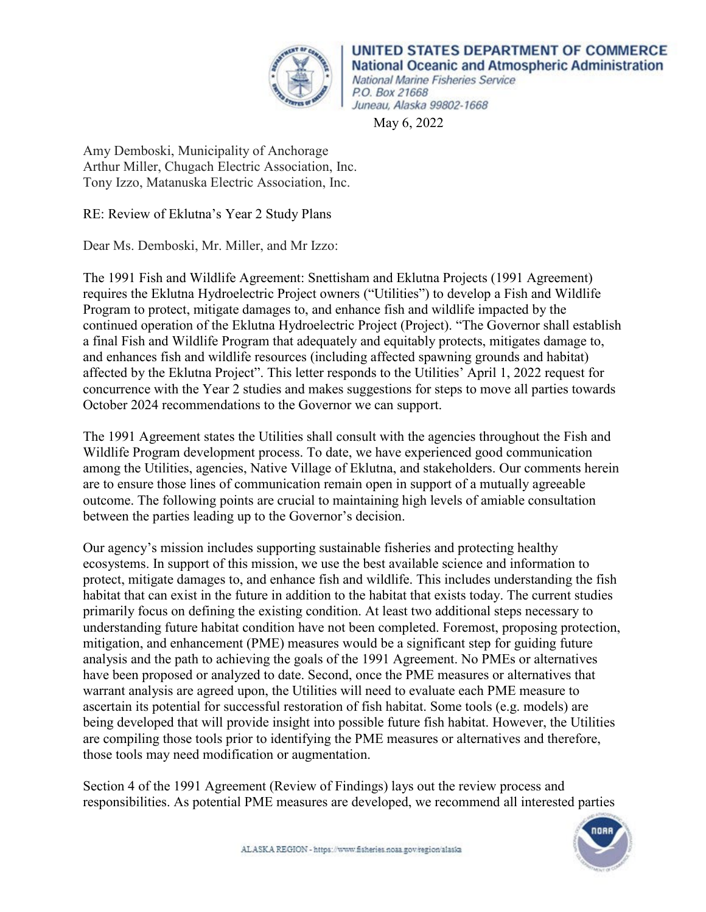

UNITED STATES DEPARTMENT OF COMMERCE **National Oceanic and Atmospheric Administration** National Marine Fisheries Service P.O. Box 21668 Juneau, Alaska 99802-1668

May 6, 2022

Amy Demboski, Municipality of Anchorage Arthur Miller, Chugach Electric Association, Inc. Tony Izzo, Matanuska Electric Association, Inc.

RE: Review of Eklutna's Year 2 Study Plans

Dear Ms. Demboski, Mr. Miller, and Mr Izzo:

The 1991 Fish and Wildlife Agreement: Snettisham and Eklutna Projects (1991 Agreement) requires the Eklutna Hydroelectric Project owners ("Utilities") to develop a Fish and Wildlife Program to protect, mitigate damages to, and enhance fish and wildlife impacted by the continued operation of the Eklutna Hydroelectric Project (Project). "The Governor shall establish a final Fish and Wildlife Program that adequately and equitably protects, mitigates damage to, and enhances fish and wildlife resources (including affected spawning grounds and habitat) affected by the Eklutna Project". This letter responds to the Utilities' April 1, 2022 request for concurrence with the Year 2 studies and makes suggestions for steps to move all parties towards October 2024 recommendations to the Governor we can support.

The 1991 Agreement states the Utilities shall consult with the agencies throughout the Fish and Wildlife Program development process. To date, we have experienced good communication among the Utilities, agencies, Native Village of Eklutna, and stakeholders. Our comments herein are to ensure those lines of communication remain open in support of a mutually agreeable outcome. The following points are crucial to maintaining high levels of amiable consultation between the parties leading up to the Governor's decision.

Our agency's mission includes supporting sustainable fisheries and protecting healthy ecosystems. In support of this mission, we use the best available science and information to protect, mitigate damages to, and enhance fish and wildlife. This includes understanding the fish habitat that can exist in the future in addition to the habitat that exists today. The current studies primarily focus on defining the existing condition. At least two additional steps necessary to understanding future habitat condition have not been completed. Foremost, proposing protection, mitigation, and enhancement (PME) measures would be a significant step for guiding future analysis and the path to achieving the goals of the 1991 Agreement. No PMEs or alternatives have been proposed or analyzed to date. Second, once the PME measures or alternatives that warrant analysis are agreed upon, the Utilities will need to evaluate each PME measure to ascertain its potential for successful restoration of fish habitat. Some tools (e.g. models) are being developed that will provide insight into possible future fish habitat. However, the Utilities are compiling those tools prior to identifying the PME measures or alternatives and therefore, those tools may need modification or augmentation.

Section 4 of the 1991 Agreement (Review of Findings) lays out the review process and responsibilities. As potential PME measures are developed, we recommend all interested parties

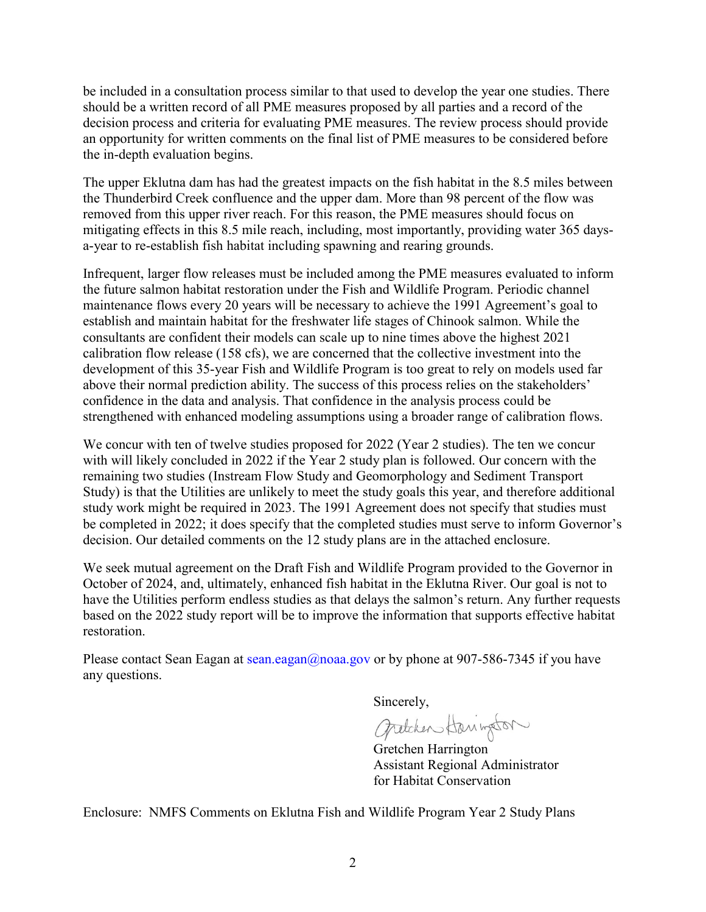be included in a consultation process similar to that used to develop the year one studies. There should be a written record of all PME measures proposed by all parties and a record of the decision process and criteria for evaluating PME measures. The review process should provide an opportunity for written comments on the final list of PME measures to be considered before the in-depth evaluation begins.

The upper Eklutna dam has had the greatest impacts on the fish habitat in the 8.5 miles between the Thunderbird Creek confluence and the upper dam. More than 98 percent of the flow was removed from this upper river reach. For this reason, the PME measures should focus on mitigating effects in this 8.5 mile reach, including, most importantly, providing water 365 daysa-year to re-establish fish habitat including spawning and rearing grounds.

Infrequent, larger flow releases must be included among the PME measures evaluated to inform the future salmon habitat restoration under the Fish and Wildlife Program. Periodic channel maintenance flows every 20 years will be necessary to achieve the 1991 Agreement's goal to establish and maintain habitat for the freshwater life stages of Chinook salmon. While the consultants are confident their models can scale up to nine times above the highest 2021 calibration flow release (158 cfs), we are concerned that the collective investment into the development of this 35-year Fish and Wildlife Program is too great to rely on models used far above their normal prediction ability. The success of this process relies on the stakeholders' confidence in the data and analysis. That confidence in the analysis process could be strengthened with enhanced modeling assumptions using a broader range of calibration flows.

We concur with ten of twelve studies proposed for 2022 (Year 2 studies). The ten we concur with will likely concluded in 2022 if the Year 2 study plan is followed. Our concern with the remaining two studies (Instream Flow Study and Geomorphology and Sediment Transport Study) is that the Utilities are unlikely to meet the study goals this year, and therefore additional study work might be required in 2023. The 1991 Agreement does not specify that studies must be completed in 2022; it does specify that the completed studies must serve to inform Governor's decision. Our detailed comments on the 12 study plans are in the attached enclosure.

We seek mutual agreement on the Draft Fish and Wildlife Program provided to the Governor in October of 2024, and, ultimately, enhanced fish habitat in the Eklutna River. Our goal is not to have the Utilities perform endless studies as that delays the salmon's return. Any further requests based on the 2022 study report will be to improve the information that supports effective habitat restoration.

Please contact Sean Eagan at sean.eagan@noaa.gov or by phone at 907-586-7345 if you have any questions.

Sincerely,<br>Gratchen Harington

Gretchen Harrington Assistant Regional Administrator for Habitat Conservation

Enclosure: NMFS Comments on Eklutna Fish and Wildlife Program Year 2 Study Plans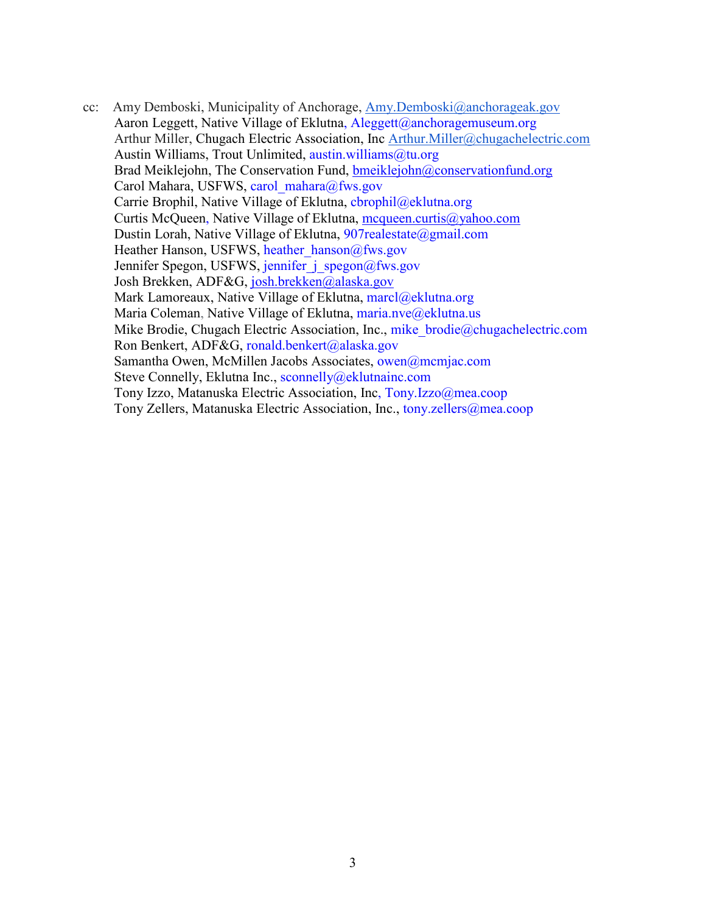cc: Amy Demboski, Municipality of Anchorage, [Amy.Demboski@anchorageak.gov](mailto:Amy.Demboski@anchorageak.gov) Aaron Leggett, Native Village of Eklutna, Aleggett@anchoragemuseum.org Arthur Miller, Chugach Electric Association, Inc [Arthur.Miller@chugachelectric.com](mailto:Arthur.Miller@chugachelectric.com) Austin Williams, Trout Unlimited, austin.williams@tu.org Brad Meiklejohn, The Conservation Fund, [bmeiklejohn@conservationfund.org](file://akr-j04/HCD/Hydropower/Eklutna-Upper/NMFS%20letters/bmeiklejohn@conservationfund.org) Carol Mahara, USFWS, carol\_mahara@fws.gov Carrie Brophil, Native Village of Eklutna, cbrophil@eklutna.org Curtis McQueen, Native Village of Eklutna, [mcqueen.curtis@yahoo.com](file://akr-j04/HCD/Hydropower/Eklutna-Upper/NMFS%20letters/mcqueen.curtis@yahoo.com) Dustin Lorah, Native Village of Eklutna, 907realestate@gmail.com Heather Hanson, USFWS, heather\_hanson@fws.gov Jennifer Spegon, USFWS, jennifer j spegon@fws.gov Josh Brekken, ADF&G, [josh.brekken@alaska.gov](mailto:josh.brekken@alaska.gov) Mark Lamoreaux, Native Village of Eklutna, marcl@eklutna.org Maria Coleman, Native Village of Eklutna, maria.nve@eklutna.us Mike Brodie, Chugach Electric Association, Inc., mike brodie@chugachelectric.com Ron Benkert, ADF&G, ronald.benkert@alaska.gov Samantha Owen, McMillen Jacobs Associates, owen@mcmjac.com Steve Connelly, Eklutna Inc., sconnelly@eklutnainc.com Tony Izzo, Matanuska Electric Association, Inc, Tony.Izzo@mea.coop Tony Zellers, Matanuska Electric Association, Inc., tony.zellers@mea.coop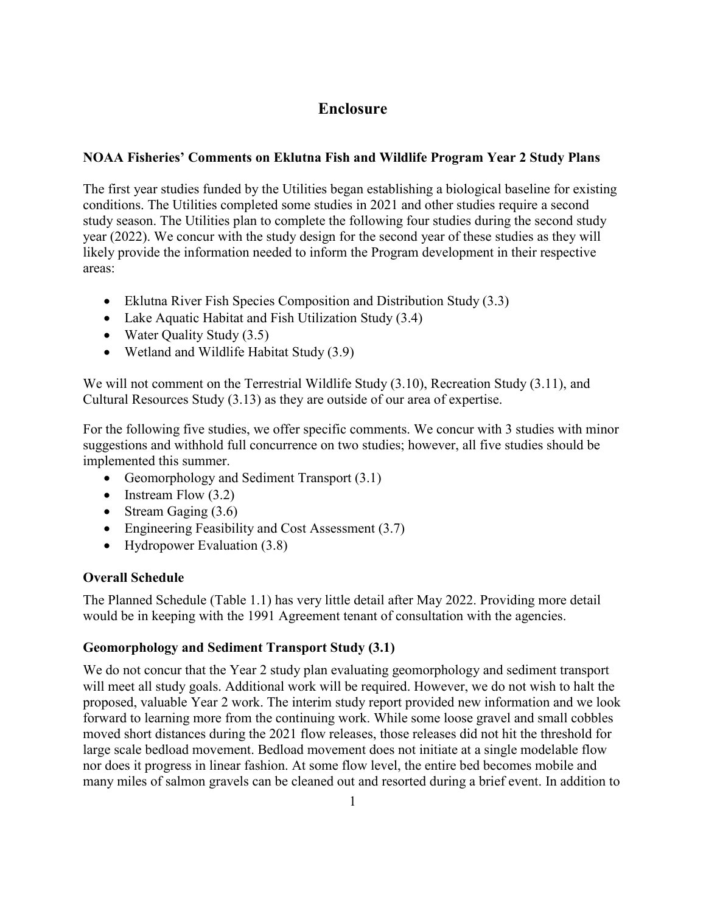# **Enclosure**

# **NOAA Fisheries' Comments on Eklutna Fish and Wildlife Program Year 2 Study Plans**

The first year studies funded by the Utilities began establishing a biological baseline for existing conditions. The Utilities completed some studies in 2021 and other studies require a second study season. The Utilities plan to complete the following four studies during the second study year (2022). We concur with the study design for the second year of these studies as they will likely provide the information needed to inform the Program development in their respective areas:

- Eklutna River Fish Species Composition and Distribution Study (3.3)
- Lake Aquatic Habitat and Fish Utilization Study (3.4)
- Water Quality Study (3.5)
- Wetland and Wildlife Habitat Study (3.9)

We will not comment on the Terrestrial Wildlife Study (3.10), Recreation Study (3.11), and Cultural Resources Study (3.13) as they are outside of our area of expertise.

For the following five studies, we offer specific comments. We concur with 3 studies with minor suggestions and withhold full concurrence on two studies; however, all five studies should be implemented this summer.

- Geomorphology and Sediment Transport (3.1)
- Instream Flow  $(3.2)$
- Stream Gaging (3.6)
- Engineering Feasibility and Cost Assessment (3.7)
- Hydropower Evaluation (3.8)

## **Overall Schedule**

The Planned Schedule (Table 1.1) has very little detail after May 2022. Providing more detail would be in keeping with the 1991 Agreement tenant of consultation with the agencies.

## **Geomorphology and Sediment Transport Study (3.1)**

We do not concur that the Year 2 study plan evaluating geomorphology and sediment transport will meet all study goals. Additional work will be required. However, we do not wish to halt the proposed, valuable Year 2 work. The interim study report provided new information and we look forward to learning more from the continuing work. While some loose gravel and small cobbles moved short distances during the 2021 flow releases, those releases did not hit the threshold for large scale bedload movement. Bedload movement does not initiate at a single modelable flow nor does it progress in linear fashion. At some flow level, the entire bed becomes mobile and many miles of salmon gravels can be cleaned out and resorted during a brief event. In addition to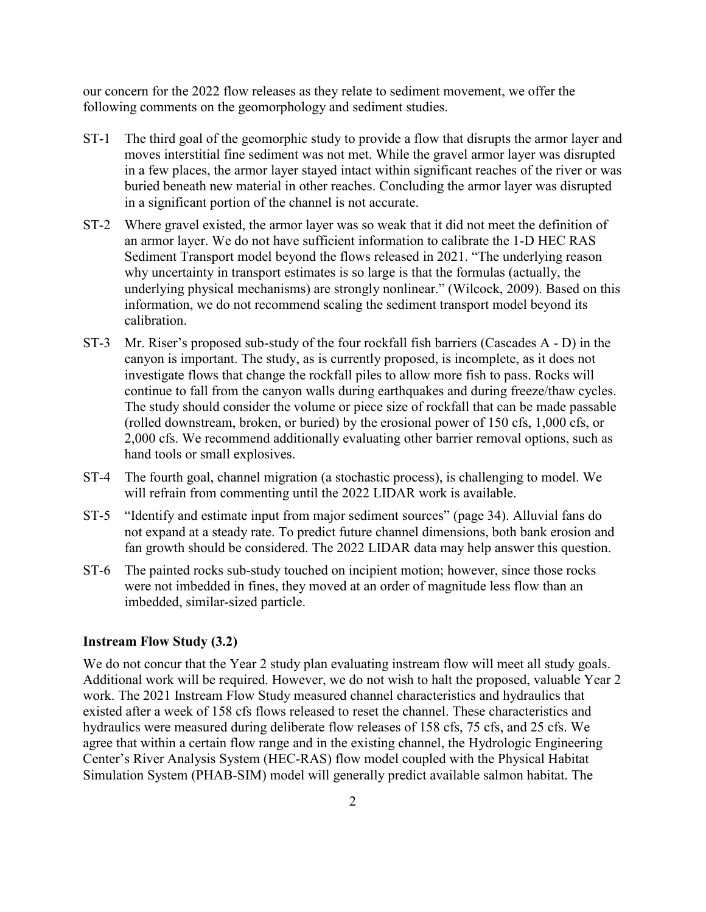our concern for the 2022 flow releases as they relate to sediment movement, we offer the following comments on the geomorphology and sediment studies.

- ST-1 The third goal of the geomorphic study to provide a flow that disrupts the armor layer and moves interstitial fine sediment was not met. While the gravel armor layer was disrupted in a few places, the armor layer stayed intact within significant reaches of the river or was buried beneath new material in other reaches. Concluding the armor layer was disrupted in a significant portion of the channel is not accurate.
- ST-2 Where gravel existed, the armor layer was so weak that it did not meet the definition of an armor layer. We do not have sufficient information to calibrate the 1-D HEC RAS Sediment Transport model beyond the flows released in 2021. "The underlying reason why uncertainty in transport estimates is so large is that the formulas (actually, the underlying physical mechanisms) are strongly nonlinear." (Wilcock, 2009). Based on this information, we do not recommend scaling the sediment transport model beyond its calibration.
- ST-3 Mr. Riser's proposed sub-study of the four rockfall fish barriers (Cascades A D) in the canyon is important. The study, as is currently proposed, is incomplete, as it does not investigate flows that change the rockfall piles to allow more fish to pass. Rocks will continue to fall from the canyon walls during earthquakes and during freeze/thaw cycles. The study should consider the volume or piece size of rockfall that can be made passable (rolled downstream, broken, or buried) by the erosional power of 150 cfs, 1,000 cfs, or 2,000 cfs. We recommend additionally evaluating other barrier removal options, such as hand tools or small explosives.
- ST-4 The fourth goal, channel migration (a stochastic process), is challenging to model. We will refrain from commenting until the 2022 LIDAR work is available.
- ST-5 "Identify and estimate input from major sediment sources" (page 34). Alluvial fans do not expand at a steady rate. To predict future channel dimensions, both bank erosion and fan growth should be considered. The 2022 LIDAR data may help answer this question.
- ST-6 The painted rocks sub-study touched on incipient motion; however, since those rocks were not imbedded in fines, they moved at an order of magnitude less flow than an imbedded, similar-sized particle.

#### **Instream Flow Study (3.2)**

We do not concur that the Year 2 study plan evaluating instream flow will meet all study goals. Additional work will be required. However, we do not wish to halt the proposed, valuable Year 2 work. The 2021 Instream Flow Study measured channel characteristics and hydraulics that existed after a week of 158 cfs flows released to reset the channel. These characteristics and hydraulics were measured during deliberate flow releases of 158 cfs, 75 cfs, and 25 cfs. We agree that within a certain flow range and in the existing channel, the Hydrologic Engineering Center's River Analysis System (HEC-RAS) flow model coupled with the Physical Habitat Simulation System (PHAB-SIM) model will generally predict available salmon habitat. The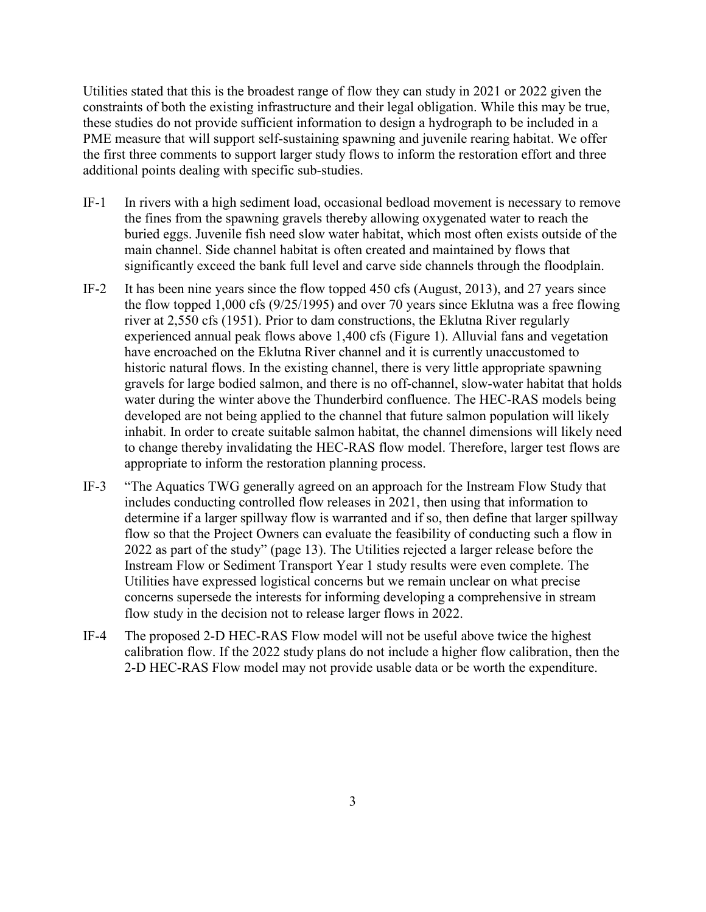Utilities stated that this is the broadest range of flow they can study in 2021 or 2022 given the constraints of both the existing infrastructure and their legal obligation. While this may be true, these studies do not provide sufficient information to design a hydrograph to be included in a PME measure that will support self-sustaining spawning and juvenile rearing habitat. We offer the first three comments to support larger study flows to inform the restoration effort and three additional points dealing with specific sub-studies.

- IF-1 In rivers with a high sediment load, occasional bedload movement is necessary to remove the fines from the spawning gravels thereby allowing oxygenated water to reach the buried eggs. Juvenile fish need slow water habitat, which most often exists outside of the main channel. Side channel habitat is often created and maintained by flows that significantly exceed the bank full level and carve side channels through the floodplain.
- IF-2 It has been nine years since the flow topped 450 cfs (August, 2013), and 27 years since the flow topped 1,000 cfs (9/25/1995) and over 70 years since Eklutna was a free flowing river at 2,550 cfs (1951). Prior to dam constructions, the Eklutna River regularly experienced annual peak flows above 1,400 cfs (Figure 1). Alluvial fans and vegetation have encroached on the Eklutna River channel and it is currently unaccustomed to historic natural flows. In the existing channel, there is very little appropriate spawning gravels for large bodied salmon, and there is no off-channel, slow-water habitat that holds water during the winter above the Thunderbird confluence. The HEC-RAS models being developed are not being applied to the channel that future salmon population will likely inhabit. In order to create suitable salmon habitat, the channel dimensions will likely need to change thereby invalidating the HEC-RAS flow model. Therefore, larger test flows are appropriate to inform the restoration planning process.
- IF-3 "The Aquatics TWG generally agreed on an approach for the Instream Flow Study that includes conducting controlled flow releases in 2021, then using that information to determine if a larger spillway flow is warranted and if so, then define that larger spillway flow so that the Project Owners can evaluate the feasibility of conducting such a flow in 2022 as part of the study" (page 13). The Utilities rejected a larger release before the Instream Flow or Sediment Transport Year 1 study results were even complete. The Utilities have expressed logistical concerns but we remain unclear on what precise concerns supersede the interests for informing developing a comprehensive in stream flow study in the decision not to release larger flows in 2022.
- IF-4 The proposed 2-D HEC-RAS Flow model will not be useful above twice the highest calibration flow. If the 2022 study plans do not include a higher flow calibration, then the 2-D HEC-RAS Flow model may not provide usable data or be worth the expenditure.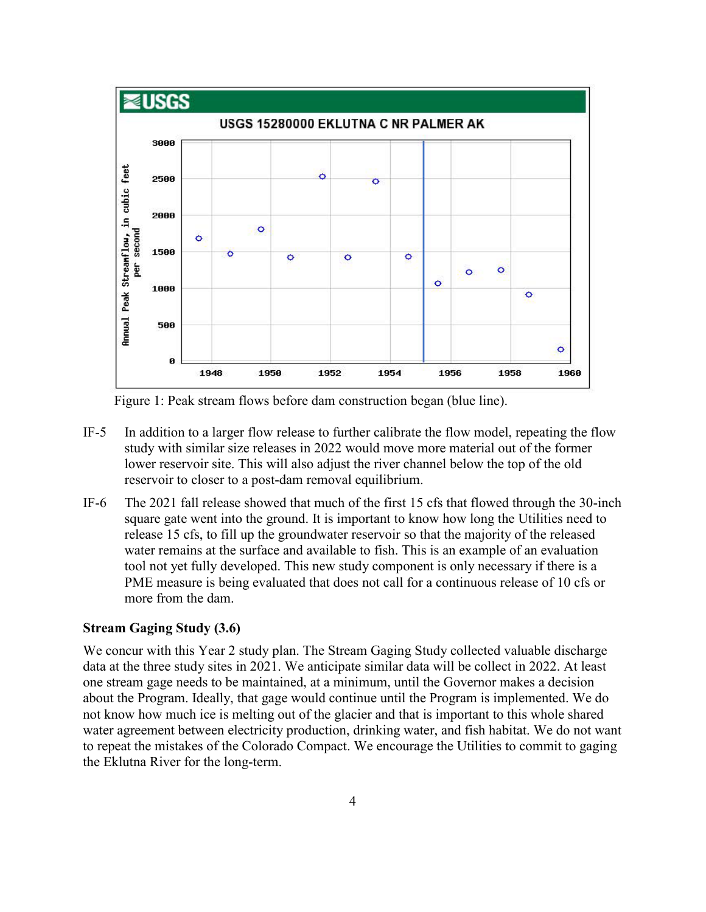

Figure 1: Peak stream flows before dam construction began (blue line).

- IF-5 In addition to a larger flow release to further calibrate the flow model, repeating the flow study with similar size releases in 2022 would move more material out of the former lower reservoir site. This will also adjust the river channel below the top of the old reservoir to closer to a post-dam removal equilibrium.
- IF-6 The 2021 fall release showed that much of the first 15 cfs that flowed through the 30-inch square gate went into the ground. It is important to know how long the Utilities need to release 15 cfs, to fill up the groundwater reservoir so that the majority of the released water remains at the surface and available to fish. This is an example of an evaluation tool not yet fully developed. This new study component is only necessary if there is a PME measure is being evaluated that does not call for a continuous release of 10 cfs or more from the dam.

#### **Stream Gaging Study (3.6)**

We concur with this Year 2 study plan. The Stream Gaging Study collected valuable discharge data at the three study sites in 2021. We anticipate similar data will be collect in 2022. At least one stream gage needs to be maintained, at a minimum, until the Governor makes a decision about the Program. Ideally, that gage would continue until the Program is implemented. We do not know how much ice is melting out of the glacier and that is important to this whole shared water agreement between electricity production, drinking water, and fish habitat. We do not want to repeat the mistakes of the Colorado Compact. We encourage the Utilities to commit to gaging the Eklutna River for the long-term.